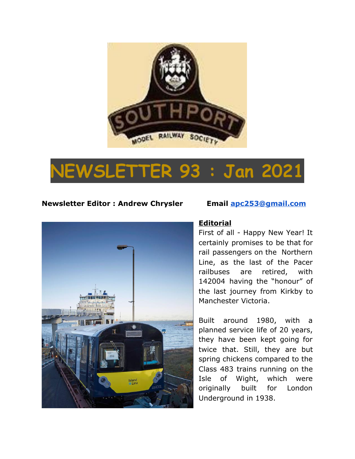

# **NEWSLETTER 93 : Jan 2021**

### **Newsletter Editor : Andrew Chrysler Email [apc253@gmail.com](mailto:apc253@gmail.com)**



#### **Editorial**

First of all - Happy New Year! It certainly promises to be that for rail passengers on the Northern Line, as the last of the Pacer railbuses are retired, with 142004 having the "honour" of the last journey from Kirkby to Manchester Victoria.

Built around 1980, with a planned service life of 20 years, they have been kept going for twice that. Still, they are but spring chickens compared to the Class 483 trains running on the Isle of Wight, which were originally built for London Underground in 1938.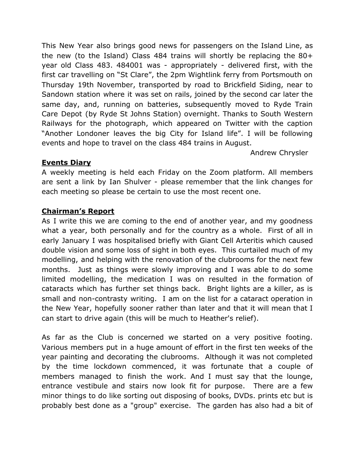This New Year also brings good news for passengers on the Island Line, as the new (to the Island) Class 484 trains will shortly be replacing the 80+ year old Class 483. 484001 was - appropriately - delivered first, with the first car travelling on "St Clare", the 2pm Wightlink ferry from Portsmouth on Thursday 19th November, transported by road to Brickfield Siding, near to Sandown station where it was set on rails, joined by the second car later the same day, and, running on batteries, subsequently moved to Ryde Train Care Depot (by Ryde St Johns Station) overnight. Thanks to South Western Railways for the photograph, which appeared on Twitter with the caption "Another Londoner leaves the big City for Island life". I will be following events and hope to travel on the class 484 trains in August.

Andrew Chrysler

### **Events Diary**

A weekly meeting is held each Friday on the Zoom platform. All members are sent a link by Ian Shulver - please remember that the link changes for each meeting so please be certain to use the most recent one.

### **Chairman's Report**

As I write this we are coming to the end of another year, and my goodness what a year, both personally and for the country as a whole. First of all in early January I was hospitalised briefly with Giant Cell Arteritis which caused double vision and some loss of sight in both eyes. This curtailed much of my modelling, and helping with the renovation of the clubrooms for the next few months. Just as things were slowly improving and I was able to do some limited modelling, the medication I was on resulted in the formation of cataracts which has further set things back. Bright lights are a killer, as is small and non-contrasty writing. I am on the list for a cataract operation in the New Year, hopefully sooner rather than later and that it will mean that I can start to drive again (this will be much to Heather's relief).

As far as the Club is concerned we started on a very positive footing. Various members put in a huge amount of effort in the first ten weeks of the year painting and decorating the clubrooms. Although it was not completed by the time lockdown commenced, it was fortunate that a couple of members managed to finish the work. And I must say that the lounge, entrance vestibule and stairs now look fit for purpose. There are a few minor things to do like sorting out disposing of books, DVDs. prints etc but is probably best done as a "group" exercise. The garden has also had a bit of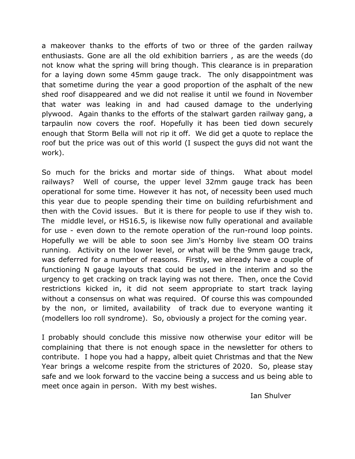a makeover thanks to the efforts of two or three of the garden railway enthusiasts. Gone are all the old exhibition barriers , as are the weeds (do not know what the spring will bring though. This clearance is in preparation for a laying down some 45mm gauge track. The only disappointment was that sometime during the year a good proportion of the asphalt of the new shed roof disappeared and we did not realise it until we found in November that water was leaking in and had caused damage to the underlying plywood. Again thanks to the efforts of the stalwart garden railway gang, a tarpaulin now covers the roof. Hopefully it has been tied down securely enough that Storm Bella will not rip it off. We did get a quote to replace the roof but the price was out of this world (I suspect the guys did not want the work).

So much for the bricks and mortar side of things. What about model railways? Well of course, the upper level 32mm gauge track has been operational for some time. However it has not, of necessity been used much this year due to people spending their time on building refurbishment and then with the Covid issues. But it is there for people to use if they wish to. The middle level, or HS16.5, is likewise now fully operational and available for use - even down to the remote operation of the run-round loop points. Hopefully we will be able to soon see Jim's Hornby live steam OO trains running. Activity on the lower level, or what will be the 9mm gauge track, was deferred for a number of reasons. Firstly, we already have a couple of functioning N gauge layouts that could be used in the interim and so the urgency to get cracking on track laying was not there. Then, once the Covid restrictions kicked in, it did not seem appropriate to start track laying without a consensus on what was required. Of course this was compounded by the non, or limited, availability of track due to everyone wanting it (modellers loo roll syndrome). So, obviously a project for the coming year.

I probably should conclude this missive now otherwise your editor will be complaining that there is not enough space in the newsletter for others to contribute. I hope you had a happy, albeit quiet Christmas and that the New Year brings a welcome respite from the strictures of 2020. So, please stay safe and we look forward to the vaccine being a success and us being able to meet once again in person. With my best wishes.

Ian Shulver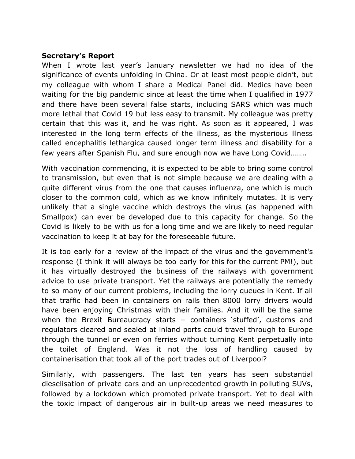#### **Secretary's Report**

When I wrote last year's January newsletter we had no idea of the significance of events unfolding in China. Or at least most people didn't, but my colleague with whom I share a Medical Panel did. Medics have been waiting for the big pandemic since at least the time when I qualified in 1977 and there have been several false starts, including SARS which was much more lethal that Covid 19 but less easy to transmit. My colleague was pretty certain that this was it, and he was right. As soon as it appeared, I was interested in the long term effects of the illness, as the mysterious illness called encephalitis lethargica caused longer term illness and disability for a few years after Spanish Flu, and sure enough now we have Long Covid……..

With vaccination commencing, it is expected to be able to bring some control to transmission, but even that is not simple because we are dealing with a quite different virus from the one that causes influenza, one which is much closer to the common cold, which as we know infinitely mutates. It is very unlikely that a single vaccine which destroys the virus (as happened with Smallpox) can ever be developed due to this capacity for change. So the Covid is likely to be with us for a long time and we are likely to need regular vaccination to keep it at bay for the foreseeable future.

It is too early for a review of the impact of the virus and the government's response (I think it will always be too early for this for the current PM!), but it has virtually destroyed the business of the railways with government advice to use private transport. Yet the railways are potentially the remedy to so many of our current problems, including the lorry queues in Kent. If all that traffic had been in containers on rails then 8000 lorry drivers would have been enjoying Christmas with their families. And it will be the same when the Brexit Bureaucracy starts – containers 'stuffed', customs and regulators cleared and sealed at inland ports could travel through to Europe through the tunnel or even on ferries without turning Kent perpetually into the toilet of England. Was it not the loss of handling caused by containerisation that took all of the port trades out of Liverpool?

Similarly, with passengers. The last ten years has seen substantial dieselisation of private cars and an unprecedented growth in polluting SUVs, followed by a lockdown which promoted private transport. Yet to deal with the toxic impact of dangerous air in built-up areas we need measures to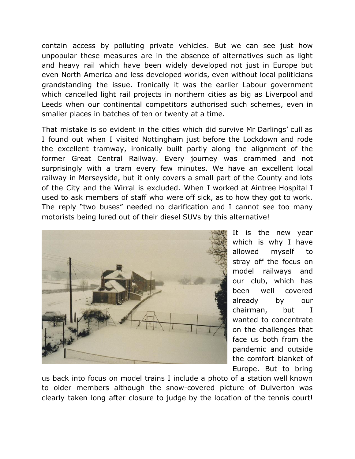contain access by polluting private vehicles. But we can see just how unpopular these measures are in the absence of alternatives such as light and heavy rail which have been widely developed not just in Europe but even North America and less developed worlds, even without local politicians grandstanding the issue. Ironically it was the earlier Labour government which cancelled light rail projects in northern cities as big as Liverpool and Leeds when our continental competitors authorised such schemes, even in smaller places in batches of ten or twenty at a time.

That mistake is so evident in the cities which did survive Mr Darlings' cull as I found out when I visited Nottingham just before the Lockdown and rode the excellent tramway, ironically built partly along the alignment of the former Great Central Railway. Every journey was crammed and not surprisingly with a tram every few minutes. We have an excellent local railway in Merseyside, but it only covers a small part of the County and lots of the City and the Wirral is excluded. When I worked at Aintree Hospital I used to ask members of staff who were off sick, as to how they got to work. The reply "two buses" needed no clarification and I cannot see too many motorists being lured out of their diesel SUVs by this alternative!



It is the new year which is why I have allowed myself to stray off the focus on model railways and our club, which has been well covered already by our chairman, but I wanted to concentrate on the challenges that face us both from the pandemic and outside the comfort blanket of Europe. But to bring

us back into focus on model trains I include a photo of a station well known to older members although the snow-covered picture of Dulverton was clearly taken long after closure to judge by the location of the tennis court!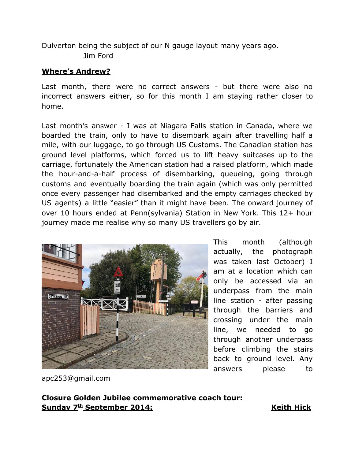Dulverton being the subject of our N gauge layout many years ago. Jim Ford

#### **Where's Andrew?**

Last month, there were no correct answers - but there were also no incorrect answers either, so for this month I am staying rather closer to home.

Last month's answer - I was at Niagara Falls station in Canada, where we boarded the train, only to have to disembark again after travelling half a mile, with our luggage, to go through US Customs. The Canadian station has ground level platforms, which forced us to lift heavy suitcases up to the carriage, fortunately the American station had a raised platform, which made the hour-and-a-half process of disembarking, queueing, going through customs and eventually boarding the train again (which was only permitted once every passenger had disembarked and the empty carriages checked by US agents) a little "easier" than it might have been. The onward journey of over 10 hours ended at Penn(sylvania) Station in New York. This 12+ hour journey made me realise why so many US travellers go by air.



This month (although actually, the photograph was taken last October) I am at a location which can only be accessed via an underpass from the main line station - after passing through the barriers and crossing under the main line, we needed to go through another underpass before climbing the stairs back to ground level. Any answers please to

apc253@gmail.com

## **Closure Golden Jubilee commemorative coach tour: Sunday 7th September 2014: Keith Hick**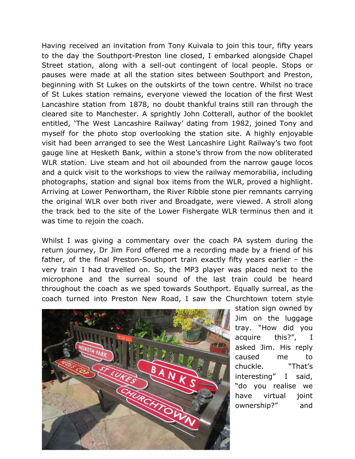Having received an invitation from Tony Kuivala to join this tour, fifty years to the day the Southport-Preston line closed, I embarked alongside Chapel Street station, along with a sell-out contingent of local people. Stops or pauses were made at all the station sites between Southport and Preston, beginning with St Lukes on the outskirts of the town centre. Whilst no trace of St Lukes station remains, everyone viewed the location of the first West Lancashire station from 1878, no doubt thankful trains still ran through the cleared site to Manchester. A sprightly John Cotterall, author of the booklet entitled, 'The West Lancashire Railway' dating from 1982, joined Tony and myself for the photo stop overlooking the station site. A highly enjoyable visit had been arranged to see the West Lancashire Light Railway's two foot gauge line at Hesketh Bank, within a stone's throw from the now obliterated WLR station. Live steam and hot oil abounded from the narrow gauge locos and a quick visit to the workshops to view the railway memorabilia, including photographs, station and signal box items from the WLR, proved a highlight. Arriving at Lower Penwortham, the River Ribble stone pier remnants carrying the original WLR over both river and Broadgate, were viewed. A stroll along the track bed to the site of the Lower Fishergate WLR terminus then and it was time to rejoin the coach.

Whilst I was giving a commentary over the coach PA system during the return journey, Dr Jim Ford offered me a recording made by a friend of his father, of the final Preston-Southport train exactly fifty years earlier – the very train I had travelled on. So, the MP3 player was placed next to the microphone and the surreal sound of the last train could be heard throughout the coach as we sped towards Southport. Equally surreal, as the coach turned into Preston New Road, I saw the Churchtown totem style



station sign owned by Jim on the luggage tray. "How did you acquire this?", I asked Jim. His reply caused me to chuckle. "That's interesting" I said, "do you realise we have virtual joint ownership?" and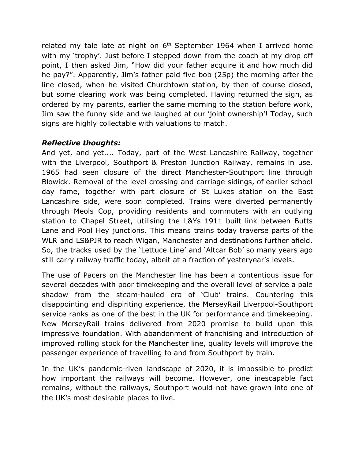related my tale late at night on  $6<sup>th</sup>$  September 1964 when I arrived home with my 'trophy'. Just before I stepped down from the coach at my drop off point, I then asked Jim, "How did your father acquire it and how much did he pay?". Apparently, Jim's father paid five bob (25p) the morning after the line closed, when he visited Churchtown station, by then of course closed, but some clearing work was being completed. Having returned the sign, as ordered by my parents, earlier the same morning to the station before work, Jim saw the funny side and we laughed at our 'joint ownership'! Today, such signs are highly collectable with valuations to match.

### *Reflective thoughts:*

And yet, and yet.... Today, part of the West Lancashire Railway, together with the Liverpool, Southport & Preston Junction Railway, remains in use. 1965 had seen closure of the direct Manchester-Southport line through Blowick. Removal of the level crossing and carriage sidings, of earlier school day fame, together with part closure of St Lukes station on the East Lancashire side, were soon completed. Trains were diverted permanently through Meols Cop, providing residents and commuters with an outlying station to Chapel Street, utilising the L&Ys 1911 built link between Butts Lane and Pool Hey junctions. This means trains today traverse parts of the WLR and LS&PJR to reach Wigan, Manchester and destinations further afield. So, the tracks used by the 'Lettuce Line' and 'Altcar Bob' so many years ago still carry railway traffic today, albeit at a fraction of yesteryear's levels.

The use of Pacers on the Manchester line has been a contentious issue for several decades with poor timekeeping and the overall level of service a pale shadow from the steam-hauled era of 'Club' trains. Countering this disappointing and dispiriting experience, the MerseyRail Liverpool-Southport service ranks as one of the best in the UK for performance and timekeeping. New MerseyRail trains delivered from 2020 promise to build upon this impressive foundation. With abandonment of franchising and introduction of improved rolling stock for the Manchester line, quality levels will improve the passenger experience of travelling to and from Southport by train.

In the UK's pandemic-riven landscape of 2020, it is impossible to predict how important the railways will become. However, one inescapable fact remains, without the railways, Southport would not have grown into one of the UK's most desirable places to live.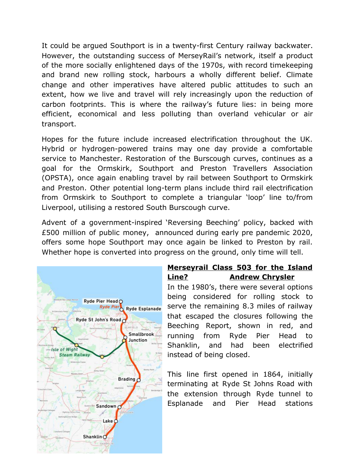It could be argued Southport is in a twenty-first Century railway backwater. However, the outstanding success of MerseyRail's network, itself a product of the more socially enlightened days of the 1970s, with record timekeeping and brand new rolling stock, harbours a wholly different belief. Climate change and other imperatives have altered public attitudes to such an extent, how we live and travel will rely increasingly upon the reduction of carbon footprints. This is where the railway's future lies: in being more efficient, economical and less polluting than overland vehicular or air transport.

Hopes for the future include increased electrification throughout the UK. Hybrid or hydrogen-powered trains may one day provide a comfortable service to Manchester. Restoration of the Burscough curves, continues as a goal for the Ormskirk, Southport and Preston Travellers Association (OPSTA), once again enabling travel by rail between Southport to Ormskirk and Preston. Other potential long-term plans include third rail electrification from Ormskirk to Southport to complete a triangular 'loop' line to/from Liverpool, utilising a restored South Burscough curve.

Advent of a government-inspired 'Reversing Beeching' policy, backed with £500 million of public money, announced during early pre pandemic 2020, offers some hope Southport may once again be linked to Preston by rail. Whether hope is converted into progress on the ground, only time will tell.



# **Merseyrail Class 503 for the Island Line? Andrew Chrysler**

In the 1980's, there were several options being considered for rolling stock to serve the remaining 8.3 miles of railway that escaped the closures following the Beeching Report, shown in red, and running from Ryde Pier Head to Shanklin, and had been electrified instead of being closed.

This line first opened in 1864, initially terminating at Ryde St Johns Road with the extension through Ryde tunnel to Esplanade and Pier Head stations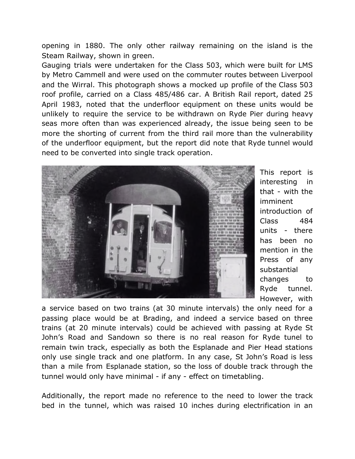opening in 1880. The only other railway remaining on the island is the Steam Railway, shown in green.

Gauging trials were undertaken for the Class 503, which were built for LMS by Metro Cammell and were used on the commuter routes between Liverpool and the Wirral. This photograph shows a mocked up profile of the Class 503 roof profile, carried on a Class 485/486 car. A British Rail report, dated 25 April 1983, noted that the underfloor equipment on these units would be unlikely to require the service to be withdrawn on Ryde Pier during heavy seas more often than was experienced already, the issue being seen to be more the shorting of current from the third rail more than the vulnerability of the underfloor equipment, but the report did note that Ryde tunnel would need to be converted into single track operation.



This report is interesting in that - with the imminent introduction of Class 484 units - there has been no mention in the Press of any substantial changes to Ryde tunnel. However, with

a service based on two trains (at 30 minute intervals) the only need for a passing place would be at Brading, and indeed a service based on three trains (at 20 minute intervals) could be achieved with passing at Ryde St John's Road and Sandown so there is no real reason for Ryde tunel to remain twin track, especially as both the Esplanade and Pier Head stations only use single track and one platform. In any case, St John's Road is less than a mile from Esplanade station, so the loss of double track through the tunnel would only have minimal - if any - effect on timetabling.

Additionally, the report made no reference to the need to lower the track bed in the tunnel, which was raised 10 inches during electrification in an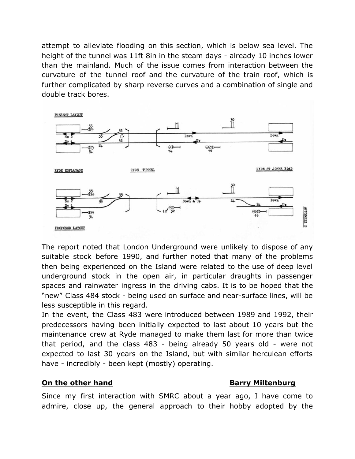attempt to alleviate flooding on this section, which is below sea level. The height of the tunnel was 11ft 8in in the steam days - already 10 inches lower than the mainland. Much of the issue comes from interaction between the curvature of the tunnel roof and the curvature of the train roof, which is further complicated by sharp reverse curves and a combination of single and double track bores.



The report noted that London Underground were unlikely to dispose of any suitable stock before 1990, and further noted that many of the problems then being experienced on the Island were related to the use of deep level underground stock in the open air, in particular draughts in passenger spaces and rainwater ingress in the driving cabs. It is to be hoped that the "new" Class 484 stock - being used on surface and near-surface lines, will be less susceptible in this regard.

In the event, the Class 483 were introduced between 1989 and 1992, their predecessors having been initially expected to last about 10 years but the maintenance crew at Ryde managed to make them last for more than twice that period, and the class 483 - being already 50 years old - were not expected to last 30 years on the Island, but with similar herculean efforts have - incredibly - been kept (mostly) operating.

#### **On the other hand Barry Miltenburg**

Since my first interaction with SMRC about a year ago, I have come to admire, close up, the general approach to their hobby adopted by the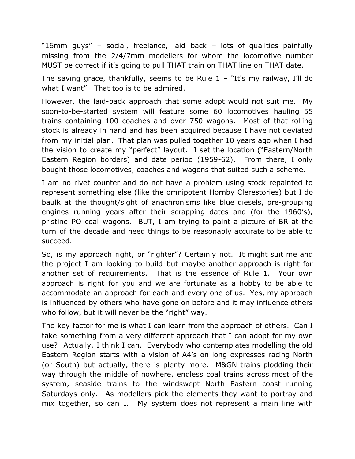"16mm guys" – social, freelance, laid back – lots of qualities painfully missing from the 2/4/7mm modellers for whom the locomotive number MUST be correct if it's going to pull THAT train on THAT line on THAT date.

The saving grace, thankfully, seems to be Rule  $1 -$  "It's my railway, I'll do what I want". That too is to be admired.

However, the laid-back approach that some adopt would not suit me. My soon-to-be-started system will feature some 60 locomotives hauling 55 trains containing 100 coaches and over 750 wagons. Most of that rolling stock is already in hand and has been acquired because I have not deviated from my initial plan. That plan was pulled together 10 years ago when I had the vision to create my "perfect" layout. I set the location ("Eastern/North Eastern Region borders) and date period (1959-62). From there, I only bought those locomotives, coaches and wagons that suited such a scheme.

I am no rivet counter and do not have a problem using stock repainted to represent something else (like the omnipotent Hornby Clerestories) but I do baulk at the thought/sight of anachronisms like blue diesels, pre-grouping engines running years after their scrapping dates and (for the 1960's), pristine PO coal wagons. BUT, I am trying to paint a picture of BR at the turn of the decade and need things to be reasonably accurate to be able to succeed.

So, is my approach right, or "righter"? Certainly not. It might suit me and the project I am looking to build but maybe another approach is right for another set of requirements. That is the essence of Rule 1. Your own approach is right for you and we are fortunate as a hobby to be able to accommodate an approach for each and every one of us. Yes, my approach is influenced by others who have gone on before and it may influence others who follow, but it will never be the "right" way.

The key factor for me is what I can learn from the approach of others. Can I take something from a very different approach that I can adopt for my own use? Actually, I think I can. Everybody who contemplates modelling the old Eastern Region starts with a vision of A4's on long expresses racing North (or South) but actually, there is plenty more. M&GN trains plodding their way through the middle of nowhere, endless coal trains across most of the system, seaside trains to the windswept North Eastern coast running Saturdays only. As modellers pick the elements they want to portray and mix together, so can I. My system does not represent a main line with